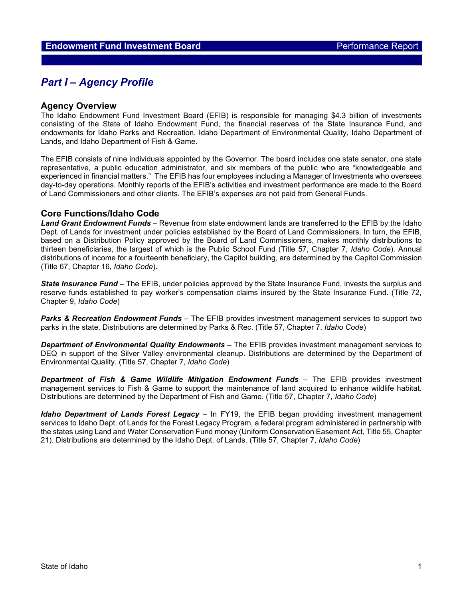# **Part I – Agency Profile**

#### **Agency Overview**

The Idaho Endowment Fund Investment Board (EFIB) is responsible for managing \$4.3 billion of investments consisting of the State of Idaho Endowment Fund, the financial reserves of the State Insurance Fund, and endowments for Idaho Parks and Recreation, Idaho Department of Environmental Quality, Idaho Department of Lands, and Idaho Department of Fish & Game.

The EFIB consists of nine individuals appointed by the Governor. The board includes one state senator, one state representative, a public education administrator, and six members of the public who are "knowledgeable and experienced in financial matters." The EFIB has four employees including a Manager of Investments who oversees day-to-day operations. Monthly reports of the EFIB's activities and investment performance are made to the Board of Land Commissioners and other clients. The EFIB's expenses are not paid from General Funds.

### **Core Functions/Idaho Code**

*Land Grant Endowment Funds* – Revenue from state endowment lands are transferred to the EFIB by the Idaho Dept. of Lands for investment under policies established by the Board of Land Commissioners. In turn, the EFIB, based on a Distribution Policy approved by the Board of Land Commissioners, makes monthly distributions to thirteen beneficiaries, the largest of which is the Public School Fund (Title 57, Chapter 7, *Idaho Code*). Annual distributions of income for a fourteenth beneficiary, the Capitol building, are determined by the Capitol Commission (Title 67, Chapter 16, *Idaho Code*).

*State Insurance Fund* – The EFIB, under policies approved by the State Insurance Fund, invests the surplus and reserve funds established to pay worker's compensation claims insured by the State Insurance Fund. (Title 72, Chapter 9, *Idaho Code*)

*Parks & Recreation Endowment Funds* – The EFIB provides investment management services to support two parks in the state. Distributions are determined by Parks & Rec. (Title 57, Chapter 7, *Idaho Code*)

*Department of Environmental Quality Endowments* – The EFIB provides investment management services to DEQ in support of the Silver Valley environmental cleanup. Distributions are determined by the Department of Environmental Quality. (Title 57, Chapter 7, *Idaho Code*)

*Department of Fish & Game Wildlife Mitigation Endowment Funds* – The EFIB provides investment management services to Fish & Game to support the maintenance of land acquired to enhance wildlife habitat. Distributions are determined by the Department of Fish and Game. (Title 57, Chapter 7, *Idaho Code*)

*Idaho Department of Lands Forest Legacy* – In FY19, the EFIB began providing investment management services to Idaho Dept. of Lands for the Forest Legacy Program, a federal program administered in partnership with the states using Land and Water Conservation Fund money (Uniform Conservation Easement Act, Title 55, Chapter 21). Distributions are determined by the Idaho Dept. of Lands. (Title 57, Chapter 7, *Idaho Code*)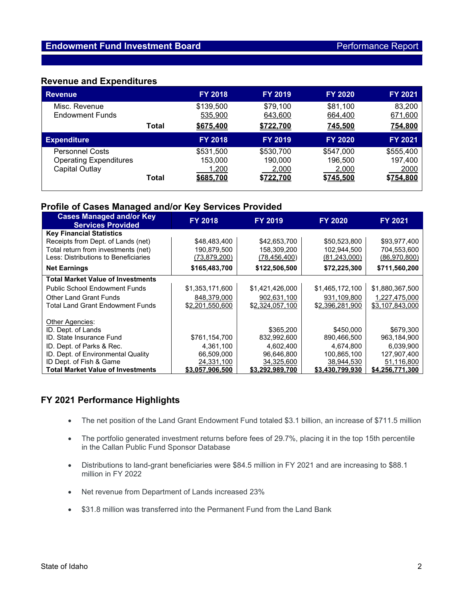### **Revenue and Expenditures**

| <b>Revenue</b>                                                            |              | <b>FY 2018</b>                             | <b>FY 2019</b>                             | <b>FY 2020</b>                             | <b>FY 2021</b>                            |
|---------------------------------------------------------------------------|--------------|--------------------------------------------|--------------------------------------------|--------------------------------------------|-------------------------------------------|
| Misc. Revenue<br><b>Endowment Funds</b>                                   |              | \$139,500<br>535,900                       | \$79,100<br>643,600                        | \$81,100<br>664,400                        | 83,200<br>671,600                         |
|                                                                           | Total        | \$675,400                                  | \$722,700                                  | 745,500                                    | 754,800                                   |
| <b>Expenditure</b>                                                        |              | <b>FY 2018</b>                             | <b>FY 2019</b>                             | <b>FY 2020</b>                             | <b>FY 2021</b>                            |
| <b>Personnel Costs</b><br><b>Operating Expenditures</b><br>Capital Outlay | <b>Total</b> | \$531,500<br>153,000<br>1,200<br>\$685,700 | \$530,700<br>190,000<br>2,000<br>\$722,700 | \$547,000<br>196,500<br>2,000<br>\$745,500 | \$555,400<br>197,400<br>2000<br>\$754,800 |

# **Profile of Cases Managed and/or Key Services Provided**

| <b>Cases Managed and/or Key</b><br><b>Services Provided</b> | <b>FY 2018</b>      | <b>FY 2019</b>  | <b>FY 2020</b>  | <b>FY 2021</b>  |
|-------------------------------------------------------------|---------------------|-----------------|-----------------|-----------------|
| <b>Key Financial Statistics</b>                             |                     |                 |                 |                 |
| Receipts from Dept. of Lands (net)                          | \$48,483,400        | \$42,653,700    | \$50,523,800    | \$93,977,400    |
| Total return from investments (net)                         | 190,879,500         | 158,309,200     | 102,944,500     | 704,553,600     |
| Less: Distributions to Beneficiaries                        | <u>(73,879,200)</u> | (78, 456, 400)  | (81, 243, 000)  | (86,970,800)    |
| <b>Net Earnings</b>                                         | \$165,483,700       | \$122,506,500   | \$72,225,300    | \$711,560,200   |
| <b>Total Market Value of Investments</b>                    |                     |                 |                 |                 |
| <b>Public School Endowment Funds</b>                        | \$1,353,171,600     | \$1,421,426,000 | \$1,465,172,100 | \$1,880,367,500 |
| <b>Other Land Grant Funds</b>                               | 848,379,000         | 902,631,100     | 931,109,800     | 1,227,475,000   |
| Total Land Grant Endowment Funds                            | \$2,201,550,600     | \$2,324,057,100 | \$2,396,281,900 | \$3,107,843,000 |
|                                                             |                     |                 |                 |                 |
| Other Agencies:                                             |                     |                 |                 |                 |
| ID. Dept. of Lands                                          |                     | \$365,200       | \$450,000       | \$679,300       |
| <b>ID.</b> State Insurance Fund                             | \$761,154,700       | 832,992,600     | 890,466,500     | 963,184,900     |
| ID. Dept. of Parks & Rec.                                   | 4,361,100           | 4,602,400       | 4,674,800       | 6,039,900       |
| ID. Dept. of Environmental Quality                          | 66,509,000          | 96,646,800      | 100,865,100     | 127,907,400     |
| ID Dept. of Fish & Game                                     | 24,331,100          | 34,325,600      | 38,944,530      | 51,116,800      |
| <b>Total Market Value of Investments</b>                    | \$3.057.906.500     | \$3,292,989,700 | \$3,430,799,930 | \$4,256,771,300 |

## **FY 2021 Performance Highlights**

- The net position of the Land Grant Endowment Fund totaled \$3.1 billion, an increase of \$711.5 million
- The portfolio generated investment returns before fees of 29.7%, placing it in the top 15th percentile in the Callan Public Fund Sponsor Database
- Distributions to land-grant beneficiaries were \$84.5 million in FY 2021 and are increasing to \$88.1 million in FY 2022
- Net revenue from Department of Lands increased 23%
- \$31.8 million was transferred into the Permanent Fund from the Land Bank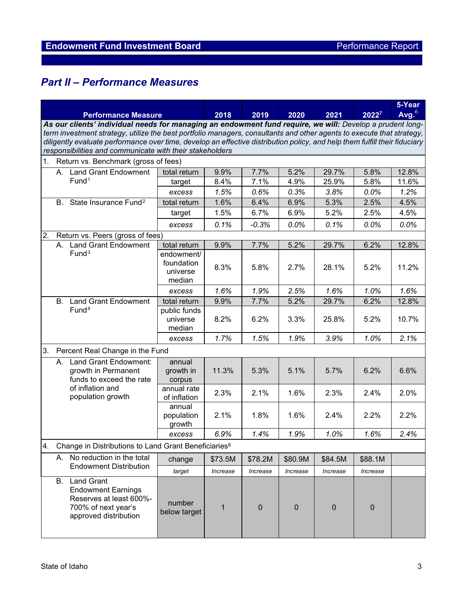# *Part II – Performance Measures*

|                            |                                                                                                                                                                                                                                                     |                                                                                                                           |                                                |          |             |             |             | 5-Year            |       |
|----------------------------|-----------------------------------------------------------------------------------------------------------------------------------------------------------------------------------------------------------------------------------------------------|---------------------------------------------------------------------------------------------------------------------------|------------------------------------------------|----------|-------------|-------------|-------------|-------------------|-------|
| <b>Performance Measure</b> |                                                                                                                                                                                                                                                     |                                                                                                                           | 2018                                           | 2019     | 2020        | 2021        | 20227       | Avg. <sup>6</sup> |       |
|                            | As our clients' individual needs for managing an endowment fund require, we will: Develop a prudent long-                                                                                                                                           |                                                                                                                           |                                                |          |             |             |             |                   |       |
|                            | term investment strategy, utilize the best portfolio managers, consultants and other agents to execute that strategy,<br>diligently evaluate performance over time, develop an effective distribution policy, and help them fulfill their fiduciary |                                                                                                                           |                                                |          |             |             |             |                   |       |
|                            | responsibilities and communicate with their stakeholders                                                                                                                                                                                            |                                                                                                                           |                                                |          |             |             |             |                   |       |
| 1.                         |                                                                                                                                                                                                                                                     | Return vs. Benchmark (gross of fees)                                                                                      |                                                |          |             |             |             |                   |       |
|                            | <b>Land Grant Endowment</b><br>А.                                                                                                                                                                                                                   |                                                                                                                           | total return                                   | 9.9%     | 7.7%        | 5.2%        | 29.7%       | 5.8%              | 12.8% |
|                            |                                                                                                                                                                                                                                                     | Fund <sup>1</sup>                                                                                                         | target                                         | 8.4%     | 7.1%        | 4.9%        | 25.9%       | 5.8%              | 11.6% |
|                            |                                                                                                                                                                                                                                                     |                                                                                                                           | excess                                         | 1.5%     | 0.6%        | 0.3%        | 3.8%        | 0.0%              | 1.2%  |
|                            | <b>B.</b>                                                                                                                                                                                                                                           | State Insurance Fund <sup>2</sup>                                                                                         | total return                                   | 1.6%     | 6.4%        | 6.9%        | 5.3%        | 2.5%              | 4.5%  |
|                            |                                                                                                                                                                                                                                                     |                                                                                                                           | target                                         | 1.5%     | 6.7%        | 6.9%        | 5.2%        | 2.5%              | 4.5%  |
|                            |                                                                                                                                                                                                                                                     |                                                                                                                           | excess                                         | 0.1%     | $-0.3%$     | 0.0%        | 0.1%        | 0.0%              | 0.0%  |
| 2.                         |                                                                                                                                                                                                                                                     | Return vs. Peers (gross of fees)                                                                                          |                                                |          |             |             |             |                   |       |
|                            | А.                                                                                                                                                                                                                                                  | <b>Land Grant Endowment</b>                                                                                               | total return                                   | 9.9%     | 7.7%        | 5.2%        | 29.7%       | 6.2%              | 12.8% |
|                            |                                                                                                                                                                                                                                                     | Fund <sup>3</sup>                                                                                                         | endowment/<br>foundation<br>universe<br>median | 8.3%     | 5.8%        | 2.7%        | 28.1%       | 5.2%              | 11.2% |
|                            |                                                                                                                                                                                                                                                     |                                                                                                                           | excess                                         | 1.6%     | 1.9%        | 2.5%        | 1.6%        | 1.0%              | 1.6%  |
|                            | <b>B.</b>                                                                                                                                                                                                                                           | <b>Land Grant Endowment</b>                                                                                               | total return                                   | 9.9%     | 7.7%        | 5.2%        | 29.7%       | 6.2%              | 12.8% |
|                            |                                                                                                                                                                                                                                                     | Fund <sup>4</sup>                                                                                                         | public funds<br>universe<br>median             | 8.2%     | 6.2%        | 3.3%        | 25.8%       | 5.2%              | 10.7% |
|                            |                                                                                                                                                                                                                                                     |                                                                                                                           | excess                                         | 1.7%     | 1.5%        | 1.9%        | 3.9%        | 1.0%              | 2.1%  |
| 3.                         | Percent Real Change in the Fund                                                                                                                                                                                                                     |                                                                                                                           |                                                |          |             |             |             |                   |       |
|                            | А.                                                                                                                                                                                                                                                  | Land Grant Endowment:<br>growth in Permanent<br>funds to exceed the rate                                                  | annual<br>growth in<br>corpus                  | 11.3%    | 5.3%        | 5.1%        | 5.7%        | 6.2%              | 6.6%  |
|                            | of inflation and                                                                                                                                                                                                                                    | population growth                                                                                                         | annual rate<br>of inflation                    | 2.3%     | 2.1%        | 1.6%        | 2.3%        | 2.4%              | 2.0%  |
|                            |                                                                                                                                                                                                                                                     |                                                                                                                           | annual<br>population<br>growth                 | 2.1%     | 1.8%        | 1.6%        | 2.4%        | 2.2%              | 2.2%  |
|                            |                                                                                                                                                                                                                                                     |                                                                                                                           | excess                                         | 6.9%     | 1.4%        | 1.9%        | 1.0%        | 1.6%              | 2.4%  |
| 4.                         | Change in Distributions to Land Grant Beneficiaries <sup>8</sup>                                                                                                                                                                                    |                                                                                                                           |                                                |          |             |             |             |                   |       |
|                            | А.                                                                                                                                                                                                                                                  | No reduction in the total<br>change                                                                                       |                                                | \$73.5M  | \$78.2M     | \$80.9M     | \$84.5M     | \$88.1M           |       |
|                            |                                                                                                                                                                                                                                                     | <b>Endowment Distribution</b>                                                                                             | target                                         | Increase | Increase    | Increase    | Increase    | Increase          |       |
|                            | В.                                                                                                                                                                                                                                                  | <b>Land Grant</b><br><b>Endowment Earnings</b><br>Reserves at least 600%-<br>700% of next year's<br>approved distribution | number<br>below target                         | 1        | $\mathbf 0$ | $\mathbf 0$ | $\mathbf 0$ | $\mathbf 0$       |       |